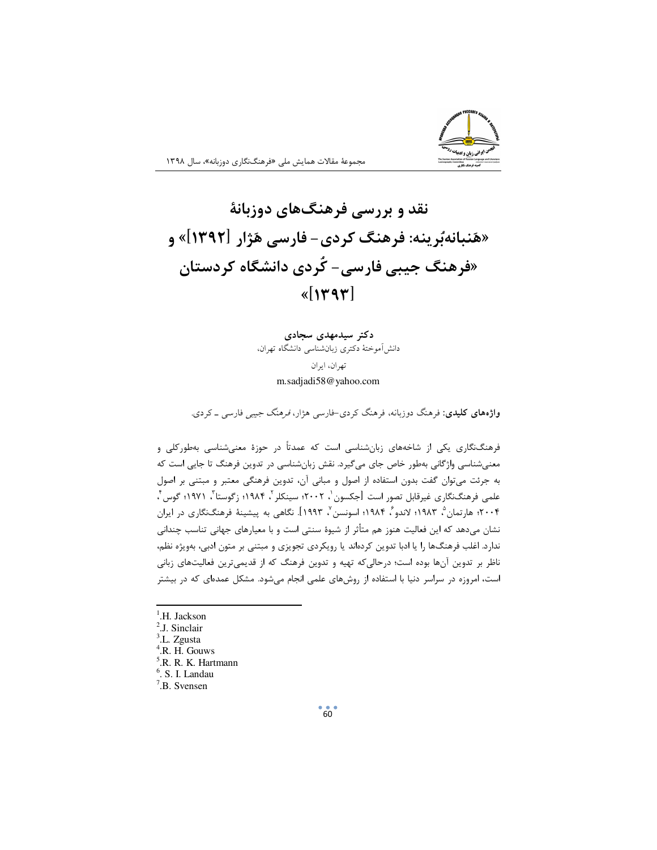

نقد و بررسی فرهنگهای دوزبانهٔ «هَنبانهبُرينه: فرهنگ کردي- فارسي هَژار [۱۳۹۲]» و «فرهنگ جیبی فارسی- کُردی دانشگاه کردستان  $\mathcal{K}[\mathcal{M}]$ 

> دکتر سیدمهدی سجادی دانش آموختهٔ دکتری زبانشناسی دانشگاه تهران،

> > تهران، ايران m.sadjadi58@yahoo.com

**واژههای کلیدی**: فرهنگ دوزبانه، فرهنگ کردی-فارسی هژار، *فرهنگ جیبی* فارسی ـ کردی.

فرهنگنگاری یکی از شاخههای زبانشناسی است که عمدتاً در حوزهٔ معنیشناسی بهطورکلی و معنیشناسی واژگانی بهطور خاص جای میگیرد. نقش زبانشناسی در تدوین فرهنگ تا جایی است که به جرئت می توان گفت بدون استفاده از اصول و مبانی آن، تدوین فرهنگی معتبر و مبتنی بر اصول علمي فرهنگنگاري غيرقابل تصور است [جكسون`، ٢٠٠٢؛ سينكلر `، ١٩٨۴؛ زگوستا ّ، ١٩٧١؛ گوس ٔ، ۲۰۰۴؛ ها, تمان <sup>۵</sup>، ۱۹۸۳؛ لاندو ً، ۱۹۸۴؛ اسونسن <sup>ب</sup>ا ۱۹۹۳]. نگاهی به پیشینهٔ فرهنگنگاری در ایران نشان میدهد که این فعالیت هنوز هم متأثر از شیوهٔ سنتی است و با معیارهای جهانی تناسب چندانی ندارد. اغلب فرهنگها را یا ادبا تدوین کردهاند یا رویکردی تجویزی و مبتنی بر متون ادبی، بهویژه نظم، ناظر بر تدوین آنها بوده است؛ درحالی که تهیه و تدوین فرهنگ که از قدیمیترین فعالیتهای زبانی است، امروزه در سراسر دنیا با استفاده از روشهای علمی انجام میشود. مشکل عمدهای که در بیشتر

- <sup>1</sup>.H. Jackson
- <sup>2</sup>.J. Sinclair
- <sup>3</sup>.L. Zgusta
- <sup>4</sup>.R. H. Gouws
- R., R. K. Hartmann
- $<sup>6</sup>$ . S. I. Landau</sup>
- $7.$ B. Svensen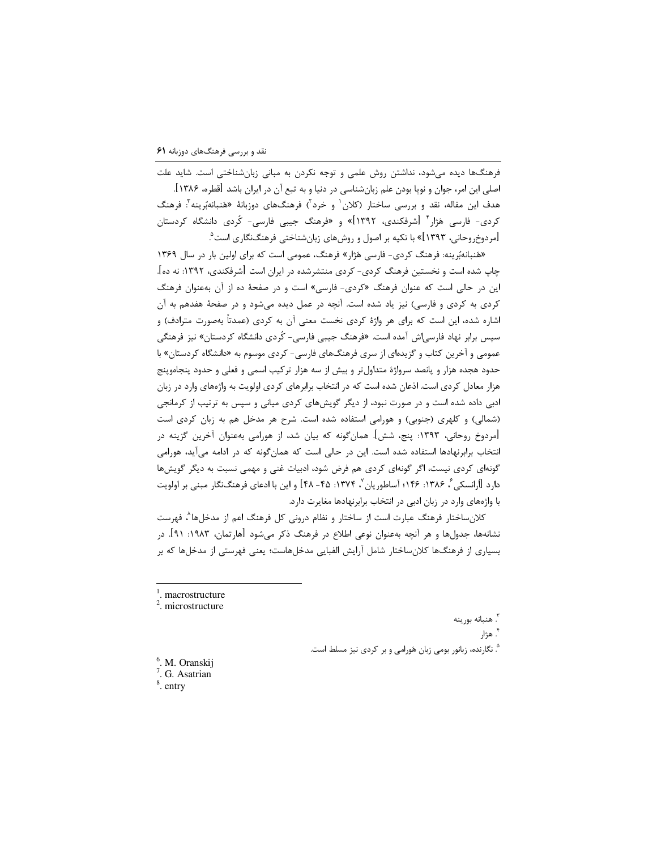فرهنگها دیده میشود، نداشتن روش علمی و توجه نکردن به مبانی زبانشناختی است. شاید علت اصلي اين امر، جوان و نوپا بودن علم زبانشناسي در دنيا و به تبع آن در ايران باشد [قطره، ۱۳۸۶]. هدف این مقاله، نقد و بررسی ساختار (کلان<sup>٬</sup> و خرد<sup>۲</sup>) فرهنگهای دوزبانهٔ «هَنبانهبُرینه<sup>۳</sup>: فرهنگ کردی- فارسی هَژار<sup>۴</sup> اشرفکندی، ۱۳۹۲]» و «فرهنگ جیبی فارسی- کُردی دانشگاه کردستان [مردوخ٫وحانی، ۱۳۹۳]» با تکیه بر اصول و روشهای زبانشناختی فرهنگنگاری است<sup>۹</sup>.

«هَنبانهبُرینه: فرهنگ کردی- فارسی هَژار» فرهنگ، عمومی است که برای اولین بار در سال ۱۳۶۹ چاپ شده است و نخستین فرهنگ کردی- کردی منتشرشده در ایران است [شرفکندی، ۱۳۹۲: نه ده]. این در حالی است که عنوان فرهنگ «کردی- فارسی» است و در صفحهٔ ده از آن به عنوان فرهنگ کردی به کردی و فارسی) نیز یاد شده است. آنچه در عمل دیده میشود و در صفحهٔ هفدهم به آن اشاره شده، این است که برای هر واژهٔ کردی نخست معنی آن به کردی (عمدتاً بهصورت مترادف) و سپس برابر نهاد فارس<sub>ح</sub>اش آمده است. «فرهنگ جیبی فارسی- کُردی دانشگاه کردستان» نیز فرهنگی عمومی و آخرین کتاب و گزیدهای از سری فرهنگهای فارسی- کردی موسوم به «دانشگاه کردستان» با حدود هجده هزار و پانصد سرواژهٔ متداول تر و بیش از سه هزار ترکیب اسمی و فعلی و حدود پنجاهوپنج هزار معادل کردی است. اذعان شده است که در انتخاب برابرهای کردی اولویت به واژههای وارد در زبان ادبی داده شده است و در صورت نبود، از دیگر گویشهای کردی میانی و سپس به ترتیب از کرمانجی (شمالی) و کلهری (جنوبی) و هورامی استفاده شده است. شرح هر مدخل هم به زبان کردی است [مردوخ روحانی، ۱۳۹۳: پنج، شش]. همانگونه که بیان شد، از هورامی بهعنوان آخرین گزینه در انتخاب برابرنهادها استفاده شده است. این در حالی است که همانگونه که در ادامه میآید، هورامی گونهای کردی نیست، اگر گونهای کردی هم فرض شود، ادبیات غنی و مهمی نسبت به دیگر گویشها دارد [اُرانسکی ٔ، ۱۳۸۶: ۱۴۶ آساطوریان ٬ ۱۳۷۴: ۴۵- ۴۸] و این با ادعای فرهنگنگار مبنی بر اولویت با واژههای وارد در زبان ادبی در انتخاب برابرنهادها مغایرت دارد.

كلانساختار فرهنگ عبارت است از ساختار و نظام درونی كل فرهنگ اعم از مدخلها^، فهرست نشانهها، جدولها و هر آنچه بهعنوان نوعی اطلاع در فرهنگ ذکر میشود [هارتمان، ۱۹۸۳: ۹۱]. در بسیاری از فرهنگها کلانساختار شامل آرایش الفبایی مدخلهاست؛ یعنی فهرستی از مدخلها که بر

- macrostructure
- <sup>2</sup>. microstructure

<sup>۳</sup>. هنبانه بورينه

<sup>۴</sup>. هژار

<sup>0</sup>. نگارنده، زبانور بومی زبان هَورامی و بر کردی نیز مسلط است.

- <sup>6</sup>. M. Oranskij <sup>7</sup>. G. Asatrian
- $\frac{8}{3}$ . entry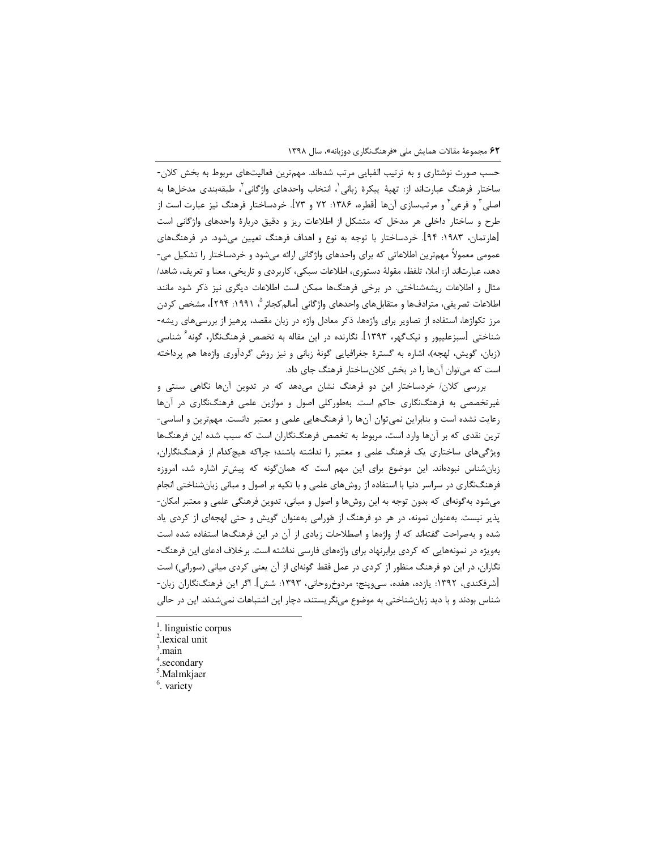حسب صورت نوشتاری و به ترتیب الفبایی مرتب شدهاند. مهمترین فعالیتهای مربوط به بخش کلان-ساختار فرهنگ عبارتاند از: تهيهٔ پيكرهٔ زباني ٰ، انتخاب واحدهاي واژگاني ٰ، طبقهبندي مدخلها به اصلي َّ و فرعي ٔ و مرتبسازي آنها [قطره، ۱۳۸۶: ۷۲ و ۷۳]. خردساختار فرهنگ نيز عبارت است از طرح و ساختار داخلی هر مدخل که متشکل از اطلاعات ریز و دقیق دربارهٔ واحدهای واژگانی است [هارتمان، ۱۹۸۳: ۹۴]. خردساختار با توجه به نوع و اهداف فرهنگ تعیین میشود. در فرهنگهای عمومی معمولاً مهمترین اطلاعاتی که برای واحدهای واژگانی ارائه میشود و خردساختار را تشکیل می-دهد، عبارتاند از: املا، تلفظ، مقولهٔ دستوری، اطلاعات سبکی، کاربردی و تاریخی، معنا و تعریف، شاهد/ مثال و اطلاعات ریشهشناختی. در برخی فرهنگها ممکن است اطلاعات دیگری نیز ذکر شود مانند اطلاعات تصريفي، مترادفها و متقابلهاي واحدهاي واژگاني [مالم5كجائر °، ١٩٩١: ٢٩۴]، مشخص كردن مرز تکواژها، استفاده از تصاویر برای واژهها، ذکر معادل واژه در زبان مقصد، پرهیز از بررسیهای ریشه-شناختی [سبزعلیپور و نیک $\mathcal{P}_{\mathbf{A}}$ ۰٫ این دار این مقاله به تخصص فرهنگنگار، گونه ً شناسی (زبان، گویش، لهجه)، اشاره به گسترهٔ جغرافیایی گونهٔ زبانی و نیز روش گردآوری واژهها هم پرداخته است که میتوان آنها را در بخش کلانساختار فرهنگ جای داد.

بررسی کلان/ خردساختار این دو فرهنگ نشان میدهد که در تدوین آنها نگاهی سنتی و غیرتخصصی به فرهنگنگاری حاکم است. بهطورکلی اصول و موازین علمی فرهنگنگاری در آنها رعایت نشده است و بنابراین نمی توان آنها را فرهنگهایی علمی و معتبر دانست. مهم ترین و اساسی-ترین نقدی که بر آنها وارد است، مربوط به تخصص فرهنگنگاران است که سبب شده این فرهنگها ویژگیهای ساختاری یک فرهنگ علمی و معتبر را نداشته باشند؛ چراکه هیچکدام از فرهنگنگاران، زبان شناس نبودهاند. این موضوع برای این مهم است که همان گونه که پیش تر اشاره شد، امروزه فرهنگنگاری در سراسر دنیا با استفاده از روشهای علمی و با تکیه بر اصول و مبانی زبانشناختی انجام میشود بهگونهای که بدون توجه به این روشها و اصول و مبانی، تدوین فرهنگی علمی و معتبر امکان-پذیر نیست. بهعنوان نمونه، در هر دو فرهنگ از هَورامی بهعنوان گویش و حتی لهجهای از کردی یاد شده و بهصراحت گفتهاند که از واژهها و اصطلاحات زیادی از آن در این فرهنگها استفاده شده است بهویژه در نمونههایی که کردی برابرنهاد برای واژههای فارسی نداشته است. برخلاف ادعای این فرهنگ-نگاران، در این دو فرهنگ منظور از کردی در عمل فقط گونهای از آن یعنی کردی میانی (سورانی) است [شرفكندي، ١٣٩٢: يازده، هفده، سيوينج؛ مردوخروحاني، ١٣٩٣: شش]. اگر اين فرهنگنگاران زبان-شناس بودند و با دید زبانشناختی به موضوع مینگریستند، دچار این اشتباهات نمیشدند. این در حالی

- <sup>1</sup>. linguistic corpus
- <sup>2</sup>.lexical unit
- main.
- .secondary
- Malmkjaer
- $6.$  variety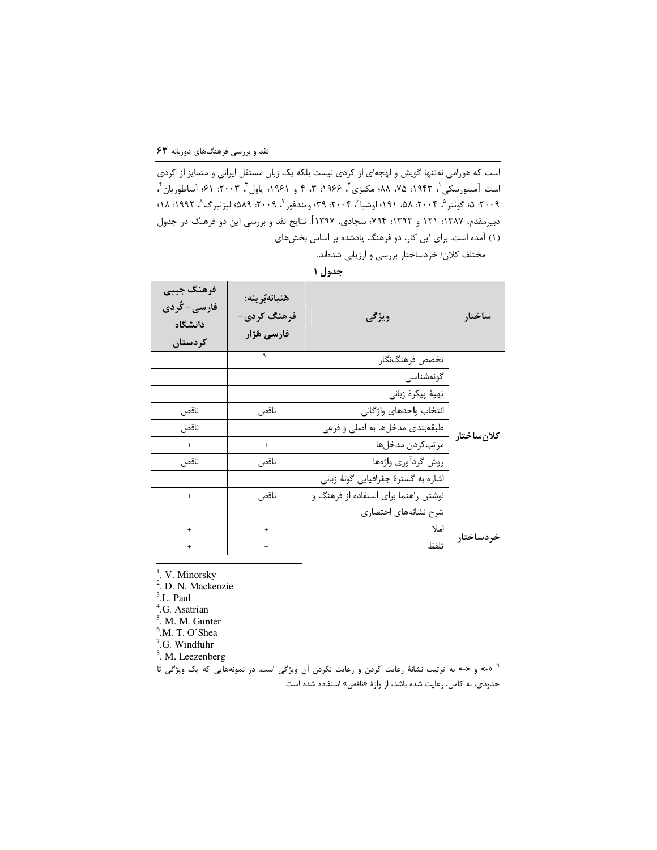است که هورامی نه تنها گویش و لهجهای از کردی نیست بلکه یک زبان مستقل ایرانی و متمایز از کردی است [مینورسکی'، ۱۹۴۳: ۷۵، ۸۸؛ مکنزی'، ۱۹۶۶: ۳، ۴ و ۱۹۶۱؛ پاول'ّ، ۲۰۰۳: ۶۱؛ آساطوریان'، ٢٠٠٩. ٤: گونتر °، ٢٠٠۴. ٨٨، ١٩١؛ اوشيا ً، ٢٠٠۴. ٣٩؛ ويندفور `، ٢٠٠٩. ٨٨٩؛ ليزنبرگ ^، ١٩٩٢: ١٨؛ دبیرمقدم، ۱۳۸۷: ۱۲۱ و ۱۳۹۲: ۷۹۴؛ سجادی، ۱۳۹۷]. نتایج نقد و بررسی این دو فرهنگ در جدول (۱) آمده است. برای این کار، دو فرهنگ یادشده بر اساس بخشهای

مختلف كلان/ خردساختار بررسي و ارزيابي شدهاند.

| فرهنگ جيبي<br>فارس <i>ی- کُ</i> ردی<br>دانشگاه<br>کر دستان | ھَنبانەبُرينە:<br>فرهنگ کردی-<br>فارسى هَژار | ويژگى                                 | ساختار     |
|------------------------------------------------------------|----------------------------------------------|---------------------------------------|------------|
|                                                            |                                              | تخصص فرهنگنگار                        |            |
|                                                            |                                              | گونەشناسى                             |            |
|                                                            |                                              | تهيهٔ پيکرهٔ زباني                    |            |
| ناقص                                                       | ناقص                                         | انتخاب واحدهاى واژگانى                |            |
| ناقص                                                       |                                              | طبقهبندي مدخلها به اصلي و فرعي        | كلانساختار |
| $^{+}$                                                     | $^{+}$                                       | مرتبكردن مدخلها                       |            |
| ناقص                                                       | ناقص                                         | روش گردآوري واژەها                    |            |
|                                                            |                                              | اشاره به گسترهٔ جغرافیایی گونهٔ زبانی |            |
| $^{+}$                                                     | ناقص                                         | نوشتن راهنما برای استفاده از فرهنگ و  |            |
|                                                            |                                              | شرح نشانههای اختصاری                  |            |
| $^{+}$                                                     | $^{+}$                                       | املا                                  |            |
| $^{+}$                                                     |                                              | تلفظ                                  | خردساختار  |

جدول ۱

 $<sup>1</sup>$ . V. Minorsky</sup>

<sup>2</sup>. D. N. Mackenzie

<sup>3</sup>.L. Paul

<sup>4</sup>.G. Asatrian

<sup>5</sup>. M. M. Gunter

<sup>6</sup>.M. T. O'Shea

 $7.$ G. Windfuhr

<sup>8</sup>. M. Leezenberg

\* «+» و «-» به ترتیب نشانهٔ رعایت کردن و رعایت نکردن آن ویژگی است. در نمونههایی که یک ویژگی تا حدودي، نه كامل، رعايت شده باشد، از واژهٔ «ناقص» استفاده شده است.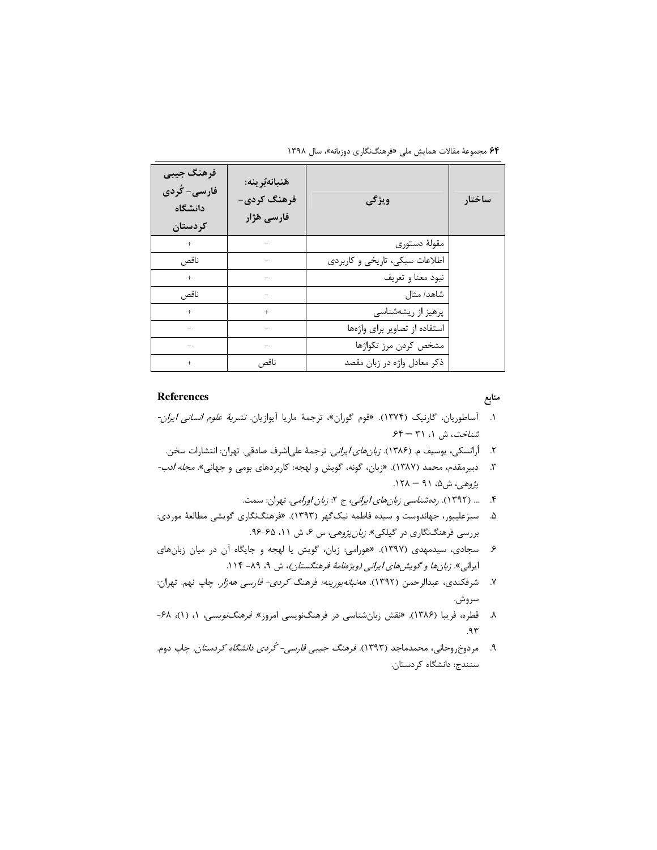۶۴ مجموعهٔ مقالات همایش ملی «فرهنگنگاری دوزبانه»، سال ۱۳۹۸

| فرهنگ جيبي<br>فارس <i>ی- کُ</i> ردی<br>دانشگاه<br>كردستان | هَنبانهُبُرِينه:<br>فرهنگ کردی-<br>فارسى هَژار | ويژگى                          | ساختار |
|-----------------------------------------------------------|------------------------------------------------|--------------------------------|--------|
| $+$                                                       |                                                | مقولهٔ دستوری                  |        |
| ناقص                                                      |                                                | اطلاعات سبکی، تاریخی و کاربردی |        |
| $+$                                                       |                                                | نبود معنا و تعريف              |        |
| ناقص                                                      |                                                | شاهد/ مثال                     |        |
| $+$                                                       | $^{+}$                                         | پرهيز از ريشەشناسى             |        |
|                                                           |                                                | استفاده از تصاویر برای واژهها  |        |
|                                                           |                                                | مشخص كردن مرز تكواژها          |        |
| $+$                                                       | ناقص                                           | ذكر معادل واژه در زبان مقصد    |        |

## **References**

منابع

- ۱. آساطوریان، گارنیک (۱۳۷۴). «قوم گوران»، ترجمهٔ ماریا آیوازیان *نشریهٔ علوم انسانی ایران*-شناخت، ش ۱، ۳۱ - ۶۴
- ۲. أرانسكي، يوسيف م. (۱۳۸۶). *زبان هاي ايراني*. ترجمهٔ علىاشرف صادقي. تهران: انتشارات سخن.
- ۳. دبیرمقدم، محمد (۱۳۸۷). «زبان، گونه، گویش و لهجه: کاربردهای بومی و جهانی»*. مجله ادب-*پژوهي، ش۵، ۹۱ – ۱۲۸.
	- ۴. ... (۱۳۹۲). ر*دهشناسی زبانهای ایرانی*، ج ۲: *زبان اورامی*. تهران: سمت.
- ۵. سبزعلیپور، جهاندوست و سیده فاطمه نیکگهر (۱۳۹۳). «فرهنگنگاری گویشی مطالعهٔ موردی: بررسی فرهنگنگاری در گیلکی». *زبان پژوهی، س ۶، ش* ۱۱، ۶۵-۹۶.
- ۶. سجادی، سیدمهدی (۱۳۹۷). «هورامی: زبان، گویش یا لهجه و جایگاه آن در میان زبانهای ایرانی». *زبانها و گویشهای ایرانی (ویژهنامهٔ فرهنگستان)*، ش ۹، ۸۹- ۱۱۴.
- ۷. شرفکندی، عبدالرحمن (۱۳۹۲). *هەنبانەبورینە:* فرهنگ *کردی- فارسی هەژار.* چاپ نهم. تهران: سروش.
- ۸. قطره، فریبا (۱۳۸۶). «نقش زبانشناسی در فرهنگنویسی امروز». *فرهنگنویسی،* ۱، (۱)، ۶۸-۹۳.
- ۹. مردوخ٫وحانی، محمدماجد (۱۳۹۳). *فرهنگ جیبی فارسی- کُردی دانشگاه کردستان.* چاپ دوم. سنندج: دانشگاه کردستان.